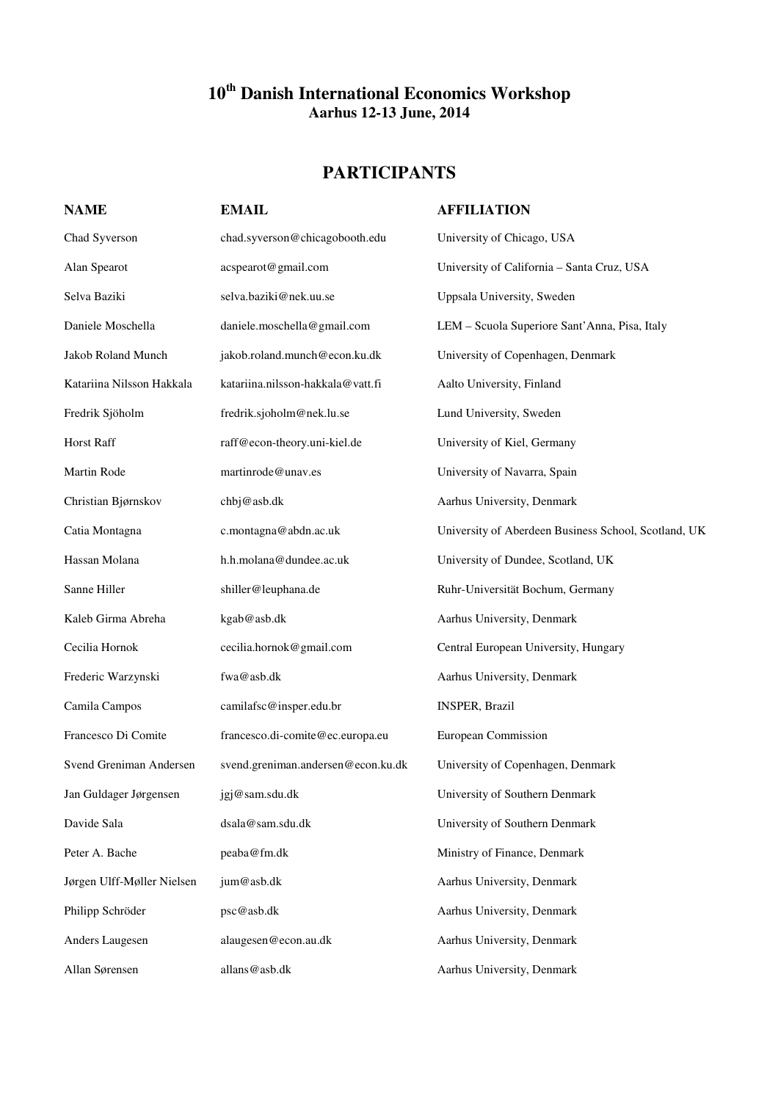## **10th Danish International Economics Workshop Aarhus 12-13 June, 2014**

## **PARTICIPANTS**

| <b>NAME</b>                | <b>EMAIL</b>                       | <b>AFFILIATION</b>                                   |
|----------------------------|------------------------------------|------------------------------------------------------|
| Chad Syverson              | chad.syverson@chicagobooth.edu     | University of Chicago, USA                           |
| Alan Spearot               | acspearot@gmail.com                | University of California - Santa Cruz, USA           |
| Selva Baziki               | selva.baziki@nek.uu.se             | Uppsala University, Sweden                           |
| Daniele Moschella          | daniele.moschella@gmail.com        | LEM - Scuola Superiore Sant'Anna, Pisa, Italy        |
| Jakob Roland Munch         | jakob.roland.munch@econ.ku.dk      | University of Copenhagen, Denmark                    |
| Katariina Nilsson Hakkala  | katariina.nilsson-hakkala@vatt.fi  | Aalto University, Finland                            |
| Fredrik Sjöholm            | fredrik.sjoholm@nek.lu.se          | Lund University, Sweden                              |
| Horst Raff                 | raff@econ-theory.uni-kiel.de       | University of Kiel, Germany                          |
| Martin Rode                | martinrode@unav.es                 | University of Navarra, Spain                         |
| Christian Bjørnskov        | chbj@asb.dk                        | Aarhus University, Denmark                           |
| Catia Montagna             | c.montagna@abdn.ac.uk              | University of Aberdeen Business School, Scotland, UK |
| Hassan Molana              | h.h.molana@dundee.ac.uk            | University of Dundee, Scotland, UK                   |
| Sanne Hiller               | shiller@leuphana.de                | Ruhr-Universität Bochum, Germany                     |
| Kaleb Girma Abreha         | kgab@asb.dk                        | Aarhus University, Denmark                           |
| Cecilia Hornok             | cecilia.hornok@gmail.com           | Central European University, Hungary                 |
| Frederic Warzynski         | fwa@asb.dk                         | Aarhus University, Denmark                           |
| Camila Campos              | camilafsc@insper.edu.br            | <b>INSPER, Brazil</b>                                |
| Francesco Di Comite        | francesco.di-comite@ec.europa.eu   | European Commission                                  |
| Svend Greniman Andersen    | svend.greniman.andersen@econ.ku.dk | University of Copenhagen, Denmark                    |
| Jan Guldager Jørgensen     | jgj@sam.sdu.dk                     | University of Southern Denmark                       |
| Davide Sala                | dsala@sam.sdu.dk                   | University of Southern Denmark                       |
| Peter A. Bache             | peaba@fm.dk                        | Ministry of Finance, Denmark                         |
| Jørgen Ulff-Møller Nielsen | jum@asb.dk                         | Aarhus University, Denmark                           |
| Philipp Schröder           | psc@asb.dk                         | Aarhus University, Denmark                           |
| Anders Laugesen            | alaugesen@econ.au.dk               | Aarhus University, Denmark                           |
| Allan Sørensen             | allans@asb.dk                      | Aarhus University, Denmark                           |